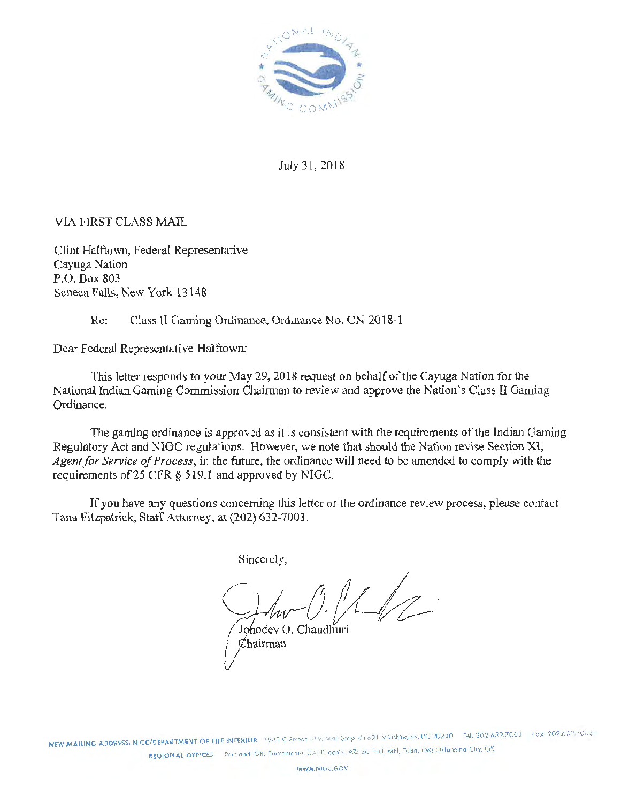

July 31, 2018

VIA FIRST CLASS MAIL

Clint Halftown, Federal Representative Cayuga Nation P.O. Box 803 Seneca Falls, New York 13148

Re: Class II Gaming Ordinance, Ordinance No. CN-2018-1

Dear Federal Representative Halftown:

This letter responds to your May 29, 2018 request on behalf of the Cayuga Nation for the National Indian Gaming Commission Chairman to review and approve the Nation's Class II Gaming Ordinance.

The gaming ordinance is approved as it is consistent with the requirements of the Indian Gaming Regulatory Act and NIGC regulations. However, we note that should the Nation revise Section XI, Agent for Service of Process, in the future, the ordinance will need to be amended to comply with the requirements of25 CFR *§* 5 19.1 and approved by NIGC.

If you have any questions concerning this letter or the ordinance review process, please contact Tana Fitzpatrick, Staff Attorney, at (202) 632-7003.

Sincerely,

 $\mathbb{Z}/\mathbb{Z}$ 

Johodev O. Chaudhuri  $\mathcal C$ hairman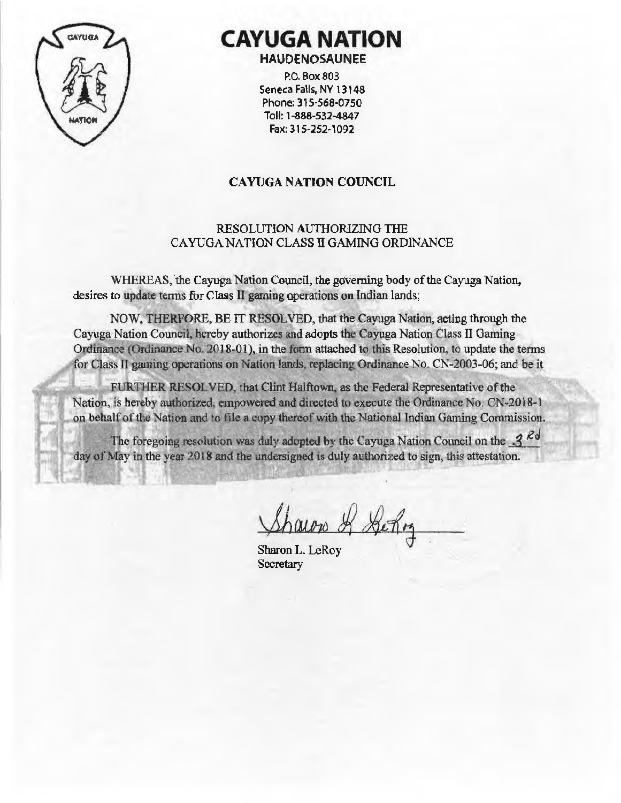

# **CAYUGA NATION HAUOENOSAUNEE**

P.O. Box 803 Seneca Falls, NY 13148 Phone: 315-568-07 50 Toll: 1-888-532-4847 Fax: 315-252-1092

# CAYUGA NATION COUNCIL

# RESOLUTION AUTHORIZING THE CA YUGA NATION CLASS TI GAMING ORDINANCE

WHEREAS,'the Cayuga Nation Council, the governing body of the Cayuga Nation, desires to update terms for Class II gaming operations on Indian lands;

NOW, THERFORE, BE IT RESOLVED, that the Cayuga Nation, acting through the Cayuga Nation Council, hereby authorizes and adopts the Cayuga Nation Class II Gaming Ordinance (Ordinance No. 2018-01), in the form attached to this Resolution, to update the terms for Class II gaming operations on Nation lands, replacing Ordinance No. CN-2003-06; and be it

FURTHER RESOLVED, that Clint Halftown. as the Federal Representative of tbe Nation, is hereby authorized, empowered and directed to execute the Ordinance No. CN-2018-1 on behalf of the Nation and to file a copy thereof with the National Indian Gaming Commission.

The foregoing resolution was duly adopted by the Cayuga Nation Council on the  $3^{Rd}$ day of May in the year 2018 and the undersigned is duly authorized to sign, this attestation.

Sharon L. LeRoy **Secretary**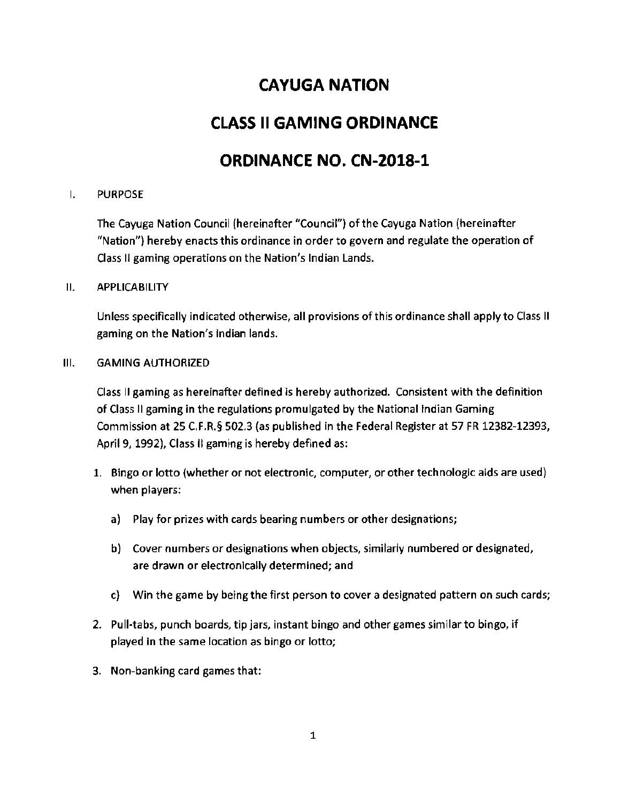# **CAYUGA NATION**

# **CLASS II GAMING ORDINANCE**

# **ORDINANCE NO. CN-2018-1**

## I. PURPOSE

The Cayuga Nation Council (hereinafter "Council") of the Cayuga Nation (hereinafter "Nation") hereby enacts this ordinance in order to govern and regulate the operation of Class II gaming operations on the Nation's Indian Lands.

#### 11. APPLICABILITY

Unless specifically indicated otherwise, all provisions of this ordinance shall apply to Class II gaming on the Nation's Indian lands.

#### Ill. GAMING AUTHORIZED

Class II gaming as hereinafter defined is hereby authorized. Consistent with the definition of Class II gaming in the regulations promulgated by the National Indian Gaming Commission at 25 C.F.R.§ 502.3 (as published in the Federal Register at 57 FR 12382-12393, April 9, 1992), Class II gaming is hereby defined as:

- 1. Bingo or lotto (whether or not electronic, computer, or other technologic aids are used) when players:
	- a) Play for prizes with cards bearing numbers or other designations;
	- b} Cover numbers or designations when objects, similarly numbered or designated, are drawn or electronically determined; and
	- c) Win the game by being the first person to cover a designated pattern on such cards;
- 2. Pull-tabs, punch boards, tip jars, instant bingo and other games similar to bingo, if played in the same location as bingo or lotto;
- 3. Non-banking card games that: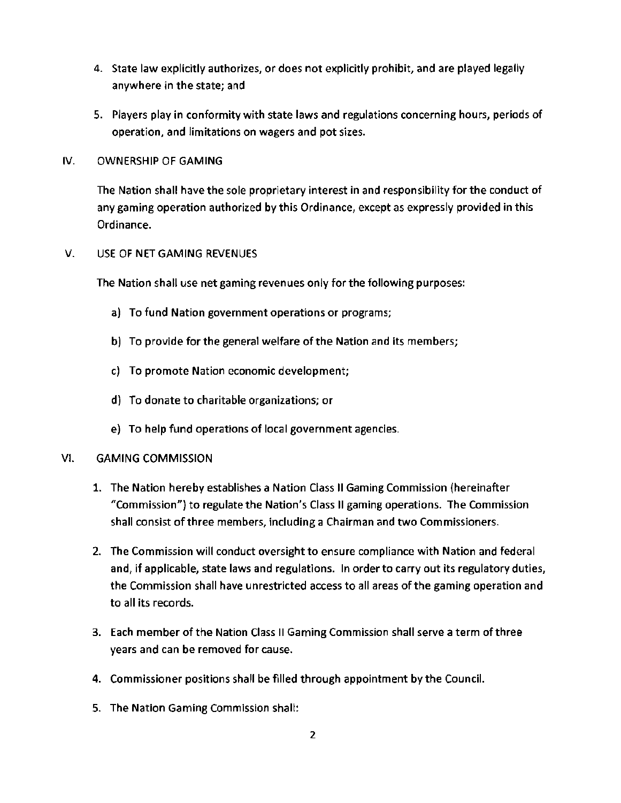- 4. State law explicitly authorizes, or does not explicitly prohibit, and are played legally anywhere in the state; and
- 5. Players play in conformity with state laws and regulations concerning hours, periods of operation, and limitations on wagers and pot sizes.
- IV. OWNERSHIP OF GAMING

The Nation shall have the sole proprietary interest in and responsibility for the conduct of any gaming operation authorized by this Ordinance, except as expressly provided in this Ordinance.

V. USE OF NET GAMING REVENUES

The Nation shall use net gaming revenues only for the following purposes:

- a) To fund Nation government operations or programs;
- b) To provide for the general welfare of the Nation and its members;
- c) To promote Nation economic development;
- d) To donate to charitable organizations; or
- e) To help fund operations of local government agencies.
- Vl. GAMING COMMISSION
	- 1. The Nation hereby establishes a Nation Class II Gaming Commission {hereinafter "Commission"} to regulate the Nation's Class II gaming operations. The Commission shall consist of three members, including a Chairman and two Commissioners.
	- 2. The Commission will conduct oversight to ensure compliance with Nation and federal and, if applicable, state laws and regulations. In order to carry out its regulatory duties, the Commission shall have unrestricted access to all areas of the gaming operation and to all its records.
	- 3. Each member of the Nation Class II Gaming Commission shall serve a term of three years and can be removed for cause.
	- 4. Commissioner positions shall be filled through appointment by the Council.
	- 5. The Nation Gaming Commission shall: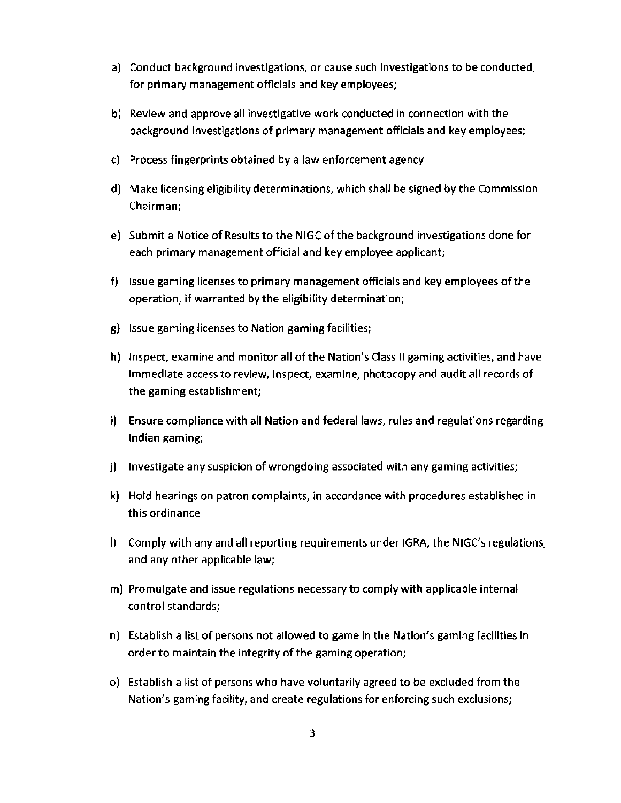- a) Conduct background investigations, or cause such investigations to be conducted, for primary management officials and key employees;
- b) Review and approve all investigative work conducted in connection with the background investigations of primary management officials and key employees;
- c) Process fingerprints obtained by a law enforcement agency
- d} Make licensing eligibility determinations, which shall be signed by the Commission Chairman;
- e) Submit a Notice of Results to the NIGC of the background investigations done for each primary management official and key employee applicant;
- f) Issue gaming licenses to primary management officials and key employees of the operation; if warranted by the eligibility determination;
- g) Issue gaming licenses to Nation gaming facilities;
- h) Inspect, examine and monitor all of the Nation's Class II gaming activities, and have immediate access to review, inspect, examine, photocopy and audit all records of the gaming establishment;
- i) Ensure compliance with all Nation and federal laws, rules and regulations regarding Indian gaming;
- j) Investigate any suspicion of wrongdoing associated with any gaming activities;
- k) Hold hearings on patron complaints, in accordance with procedures established in this ordinance
- I) Comply with any and all reporting requirements under IGRA, the NIGC's regulations, and any other applicable law;
- m) Promulgate and issue regulations necessary to comply with applicable internal control standards;
- n) Establish a list of persons not allowed to game in the Nation's gaming facilities in order to maintain the integrity of the gaming operation;
- o) Establish a list of persons who have voluntarily agreed to be excluded from the Nation's gaming facility, and create regulations for enforcing such exclusions;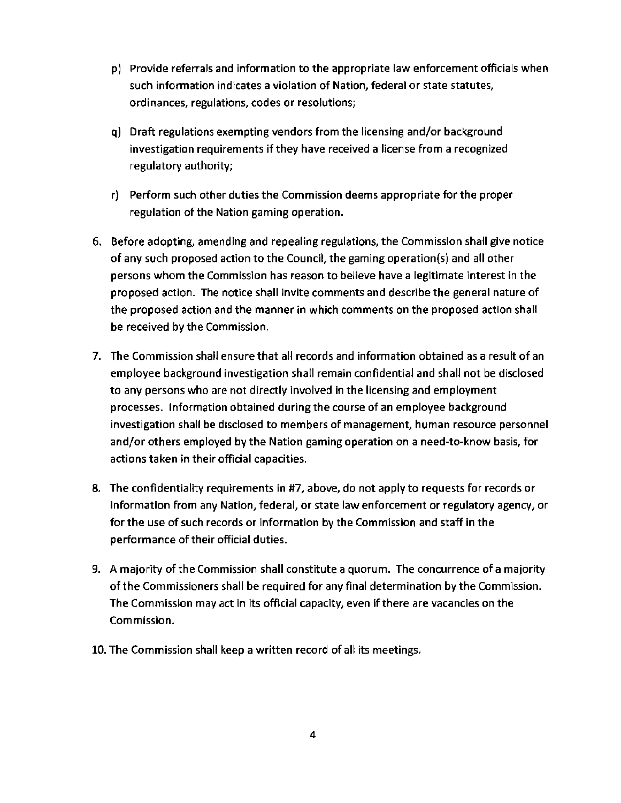- p) Provide referrals and information to the appropriate law enforcement officials when such information indicates a violation of Nation, federal or state statutes, ordinances, regulations, codes or resolutions;
- q) Draft regulations exempting vendors from the licensing and/or background investigation requirements if they have received a license from a recognized regulatory authority;
- r) Perform such other duties the Commission deems appropriate for the proper regulation of the Nation gaming operation.
- 6. Before adopting, amending and repealing regulations, the Commission shall give notice of any such proposed action to the Council, the gaming operation{s) and all other persons whom the Commission has reason to believe have a legitimate interest in the proposed action. The notice shall invite comments and describe the general nature of the proposed action and the manner in which comments on the proposed action shall be received by the Commission.
- 7. The Commission shall ensure that all records and information obtained as a result of an employee background investigation shall remain confidential and shall not be disclosed to any persons who are not directly involved in the licensing and employment processes. Information obtained during the course of an employee background investigation shall be disclosed to members of management, human resource personnel and/or others employed by the Nation gaming operation on a need-to-know basis, for actions taken in their official capacities.
- 8. The confidentiality requirements in #7, above, do not apply to requests for records or information from any Nation, federal, or state law enforcement or regulatory agency, or for the use of such records or information by the Commission and staff in the performance of their official duties.
- 9. A majority of the Commission shall constitute a quorum. The concurrence of a majority of the Commissioners shall be required for any final determination by the Commission. The Commission may act in its official capacity, even if there are vacancies on the Commission.
- 10. The Commission shall keep a written record of all its meetings.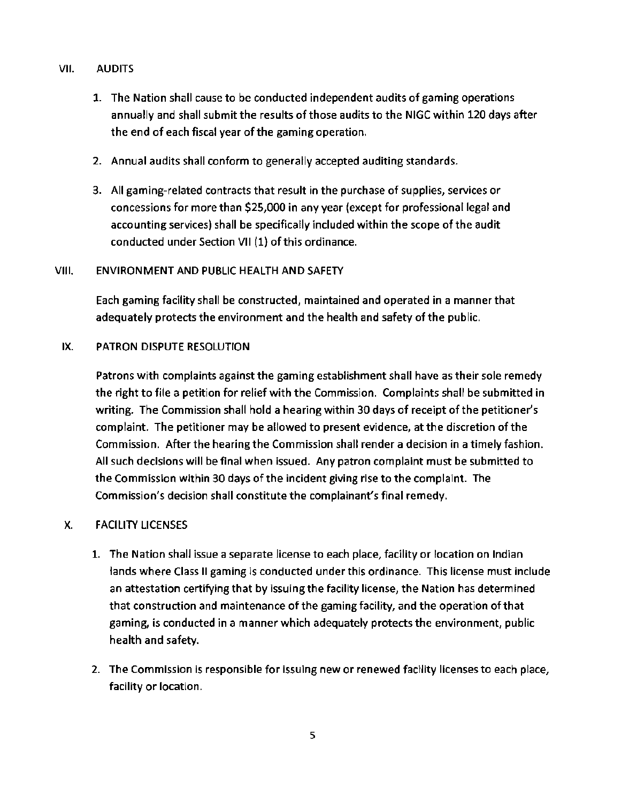# VII. AUDITS

- 1. The Nation shall cause to be conducted independent audits of gaming operations annually and shall submit the results of those audits to the NIGC within 120 days after the end of each fiscal year of the gaming operation.
- 2. Annual audits shall conform to generally accepted auditing standards.
- 3. All gaming-related contracts that result in the purchase of supplies, services or concessions for more than \$25,000 in any year (except for professional legal and accounting services) shall be specifically included within the scope of the audit conducted under Section VII (1) of this ordinance.

# VIII. ENVIRONMENT AND PUBLIC HEALTH AND SAFETY

Each gaming facility shall be constructed, maintained and operated in a manner that adequately protects the environment and the health and safety of the public.

# IX. PATRON DISPUTE RESOLUTION

Patrons with complaints against the gaming establishment shall have as their sole remedy the right to file a petition for relief with the Commission. Complaints shall be submitted in writing. The Commission shall hold a hearing within 30 days of receipt of the petitioner's complaint. The petitioner may be allowed to present evidence, at the discretion of the Commission. After the hearing the Commission shall render a decision in a timely fashion. All such decisions will be final when issued. Any patron complaint must be submitted to the Commission within 30 days of the incident giving rise to the complaint. The Commission's decision shall constitute the complainant's final remedy.

# X. FACILITY LICENSES

- 1. The Nation shall issue a separate license to each place, facility or location on Indian lands where Class II gaming is conducted under this ordinance. This license must include an attestation certifying that by issuing the facility license, the Nation has determined that construction and maintenance of the gaming facility, and the operation of that gaming, is conducted in a manner which adequately protects the environment, public health and safety.
- 2. The Commission is responsible for issuing new or renewed facility licenses to each place, facility or location.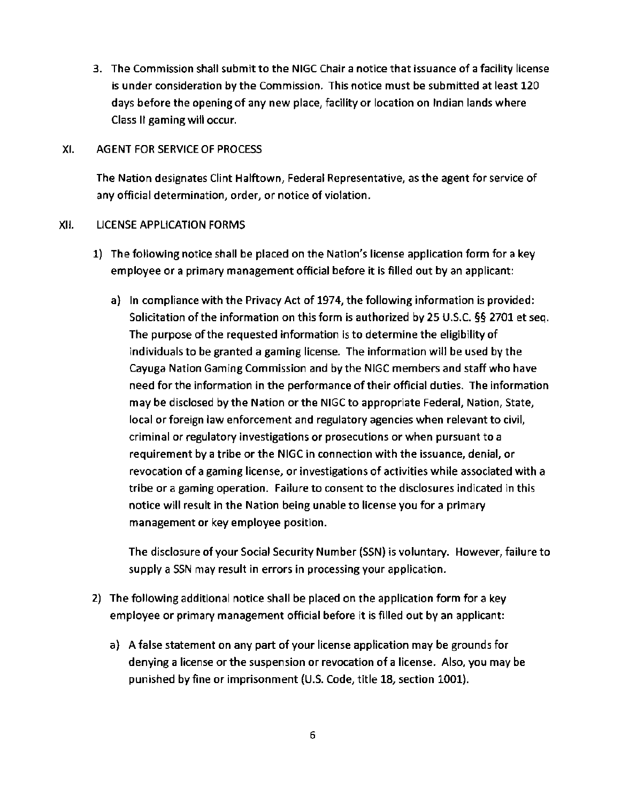3. The Commission shall submit to the NIGC Chair a notice that issuance of a facility license is under consideration by the Commission. This notice must be submitted at least 120 days before the opening of any new place, facility or location on Indian lands where Class II gaming will occur.

#### XI. AGENT FOR SERVICE OF PROCESS

The Nation designates Clint Halftown, Federal Representative, as the agent for service of any official determination, order, or notice of violation.

#### XII. LICENSE APPLICATION FORMS

- 1) The following notice shall be placed on the Nation's license application form for a key employee or a primary management official before it is filled out by an applicant:
	- a) In compliance with the Privacy Act of 1974, the following information is provided: Solicitation of the information on this form is authorized by 25 U.S.C. §§ 2701 et seq. The purpose of the requested information is to determine the eligibility of individuals to be granted a gaming license. The information will be used by the Cayuga Nation Gaming Commission and by the NIGC members and staff who have need for the information in the performance of their official duties. The information may be disclosed by the Nation or the NIGC to appropriate Federal, Nation, State, local or foreign law enforcement and regulatory agencies when relevant to civil, criminal or regulatory investigations or prosecutions or when pursuant to a requirement by a tribe or the NIGC in connection with the issuance, denial, or revocation of a gaming license, or investigations of activities while associated with a tribe or a gaming operation. Failure to consent to the disclosures indicated in this notice will result in the Nation being unable to license you for a primary management or key employee position.

The disclosure of your Social Security Number (SSN) is voluntary. However, failure to supply a SSN may result in errors in processing your application.

- 2) The following additional notice shall be placed on the application form for a key employee or primary management official before it is filled out by an applicant:
	- a) A false statement on any part of your license application may be grounds for denying a license or the suspension or revocation of a license. Also, you may be punished by fine or imprisonment (U.S. Code, title 18, section 1001).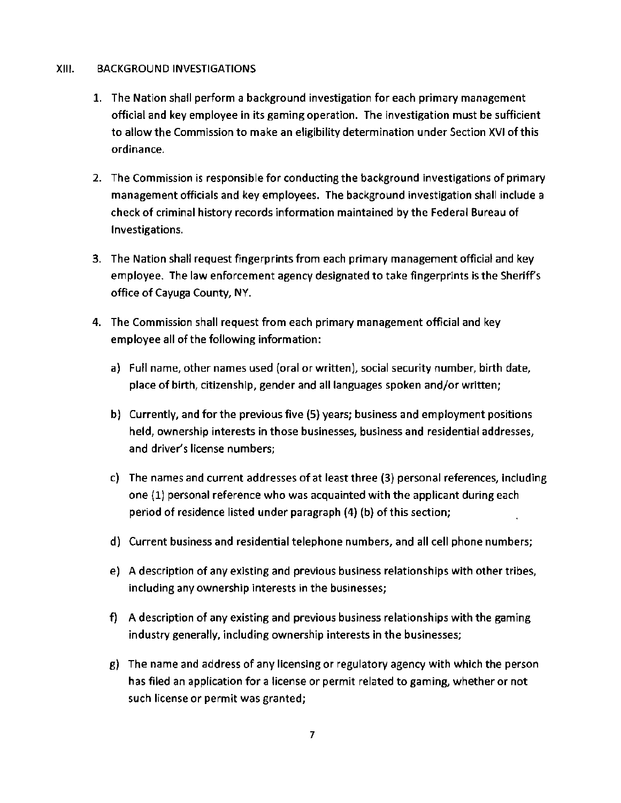#### XIII. BACKGROUND INVESTIGATIONS

- 1. The Nation shall perform a background investigation for each primary management official and key employee in its gaming operation. The investigation must be sufficient to allow the Commission to make an eligibility determination under Section XVI of this ordinance.
- 2. The Commission is responsible for conducting the background investigations of primary management officials and key employees. The background investigation shall include a check of criminal history records information maintained by the Federal Bureau of Investigations.
- 3. The Nation shall request fingerprints from each primary management official and key employee. The law enforcement agency designated to take fingerprints is the Sheriffs office of Cayuga County, NY.
- 4. The Commission shall request from each primary management official and key employee all of the following information:
	- a) Full name, other names used (oral or written), social security number, birth date, place of birth, citizenship, gender and all languages spoken and/or written;
	- b) Currently, and for the previous five (5) years; business and employment positions held, ownership interests in those businesses, business and residential addresses, and driver's license numbers;
	- c) The names and current addresses of at least three (3) personal references, including one (1) personal reference who was acquainted with the applicant during each period of residence listed under paragraph (4) (b) of this section;
	- d) Current business and residential telephone numbers, and all cell phone numbers;
	- e) A description of any existing and previous business relationships with other tribes, including any ownership interests in the businesses;
	- f) A description of any existing and previous business relationships with the gaming industry generally, including ownership interests in the businesses;
	- g) The name and address of any licensing or regulatory agency with which the person has filed an application for a license or permit related to gaming, whether or not such license or permit was granted;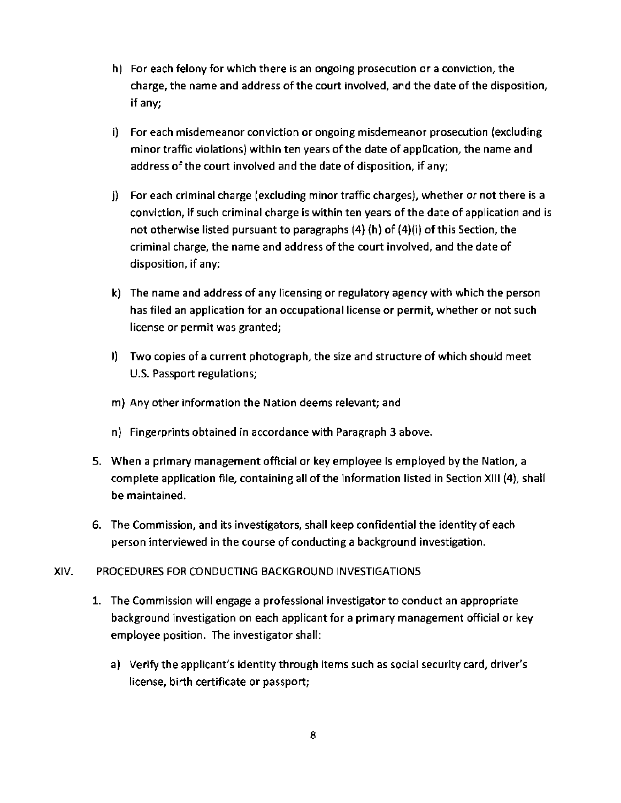- h) For each felony for which there is an ongoing prosecution or a conviction, the charge, the name and address of the court involved, and the date of the disposition, if any;
- i) For each misdemeanor conviction or ongoing misdemeanor prosecution (excluding minor traffic violations) within ten years of the date of application, the name and address of the court involved and the date of disposition, if any;
- j) For each criminal charge (excluding minor traffic charges), whether or not there is a conviction, if such criminal charge is within ten years of the date of application and is not otherwise listed pursuant to paragraphs (4) (h) of (4)(i) of this Section, the criminal charge, the name and address of the court involved, and the date of disposition, if any;
- k) The name and address of any licensing or regulatory agency with which the person has filed an application for an occupational license or permit, whether or not such license or permit was granted;
- I) Two copies of a current photograph, the size and structure of which should meet U.S. Passport regulations;
- m) Any other information the Nation deems relevant; and
- n) Fingerprints obtained in accordance with Paragraph 3 above.
- 5. When a primary management official or key employee is employed by the Nation, a complete application file, containing all of the information listed in Section XIII (4), shall be maintained.
- 6. The Commission, and its investigators, shall keep confidential the identity of each person interviewed in the course of conducting a background investigation.

## XIV. PROCEDURES FOR CONDUCTING BACKGROUND INVESTIGATIONS

- 1. The Commission will engage a professional investigator to conduct an appropriate background investigation on each applicant for a primary management official or key employee position. The investigator shall:
	- a) Verify the applicant's identity through items such as social security card, driver's license, birth certificate or passport;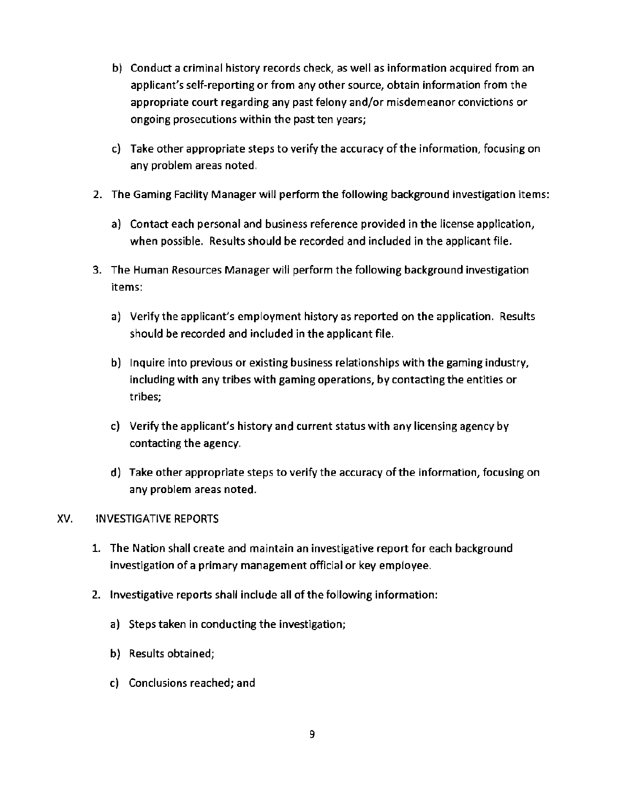- b) Conduct a criminal history records check, as well as information acquired from an applicant's self-reporting or from any other source, obtain information from the appropriate court regarding any past felony and/or misdemeanor convictions or ongoing prosecutions within the past ten years;
- c) Take other appropriate steps to verify the accuracy of the information, focusing on any problem areas noted.
- 2. The Gaming Facility Manager will perform the following background investigation items:
	- a) Contact each personal and business reference provided in the license application, when possible. Results should be recorded and included in the applicant file.
- 3. The Human Resources Manager will perform the following background investigation items:
	- a) Verify the applicant's employment history as reported on the application. Results should be recorded and included in the applicant file.
	- b) Inquire into previous or existing business relationships with the gaming industry, including with any tribes with gaming operations, by contacting the entities or tribes;
	- c) Verify the applicant's history and current status with any licensing agency by contacting the agency.
	- d) Take other appropriate steps to verify the accuracy of the information, focusing on any problem areas noted.

## XV. INVESTIGATIVE REPORTS

- 1. The Nation shall create and maintain an investigative report for each background investigation of a primary management official or key employee.
- 2. Investigative reports shall include all of the following information:
	- a) Steps taken in conducting the investigation;
	- b) Results obtained;
	- c) Conclusions reached; and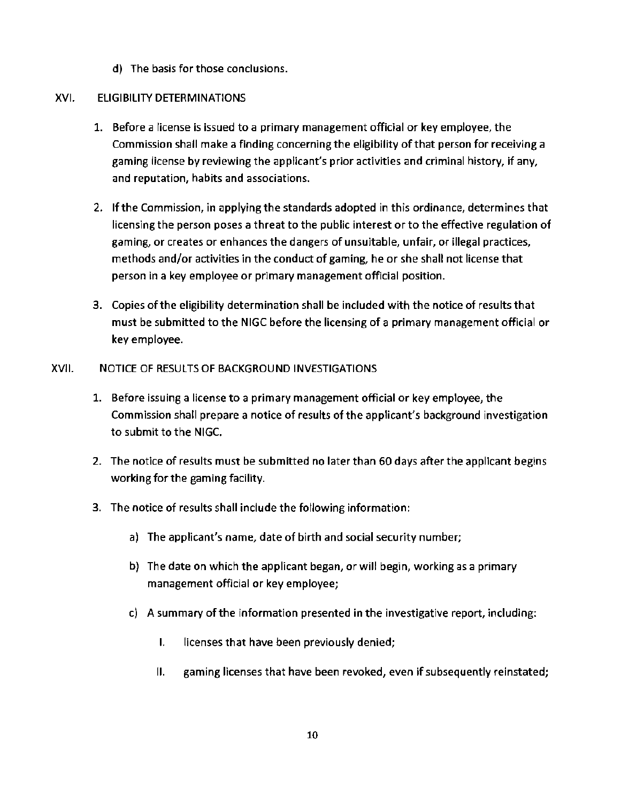d) The basis for those conclusions.

# XVI. ELIGIBILITY DETERMINATIONS

- 1. Before a license is issued to a primary management official or key employee, the Commission shall make a finding concerning the eligibility of that person for receiving a gaming license by reviewing the applicant's prior activities and criminal history, if any, and reputation, habits and associations.
- 2. If the Commission, in applying the standards adopted in this ordinance, determines that licensing the person poses a threat to the public interest or to the effective regulation of gaming, or creates or enhances the dangers of unsuitable, unfair, or illegal practices, methods and/or activities in the conduct of gaming, he or she shall not license that person in a key employee or primary management official position.
- 3. Copies of the eligibility determination shall be included with the notice of results that must be submitted to the NIGC before the licensing of a primary management official or key employee.
- XVII. NOTICE OF RESULTS OF BACKGROUND INVESTIGATIONS
	- 1. Before issuing a license to a primary management official or key employee, the Commission shall prepare a notice of results of the applicant's background investigation to submit to the NIGC.
	- 2. The notice of results must be submitted no later than 60 days after the applicant begins working for the gaming facility.
	- 3. The notice of results shall include the following information:
		- a) The applicant's name, date of birth and social security number;
		- b) The date on which the applicant began, or will begin, working as a primary management official or key employee;
		- c) A summary of the information presented in the investigative report, including:
			- I. licenses that have been previously denied;
			- II. gaming licenses that have been revoked, even if subsequently reinstated;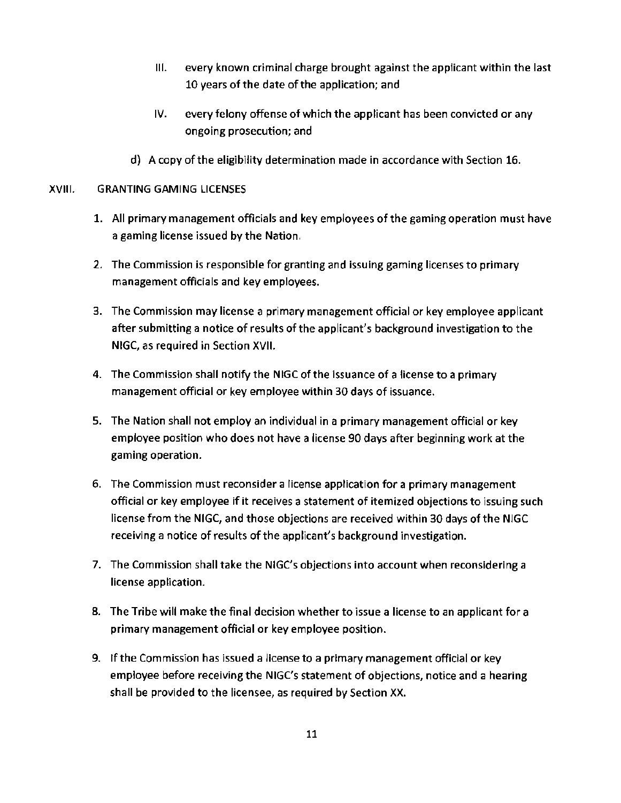- Ill. every known criminal charge brought against the applicant within the last 10 years of the date of the application; and
- IV. every felony offense of which the applicant has been convicted or any ongoing prosecution; and
- d} A copy of the eligibility determination made in accordance with Section 16.

## XVIII. GRANTING GAMING LICENSES

- 1. All primary management officials and key employees of the gaming operation must have a gaming license issued by the Nation.
- 2. The Commission is responsible for granting and issuing gaming licenses to primary management officials and key employees.
- 3. The Commission may license a primary management official or key employee applicant after submitting a notice of results of the applicant's background investigation to the NIGC, as required in Section XVII.
- 4. The Commission shall notify the NIGC of the issuance of a license to a primary management official or key employee within 30 days of issuance.
- 5. The Nation shall not employ an individual in a primary management official or key employee position who does not have a license 90 days after beginning work at the gaming operation.
- 6. The Commission must reconsider a license application for a primary management official or key employee if it receives a statement of itemized objections to issuing such license from the NIGC, and those objections are received within 30 days of the NIGC receiving a notice of results of the applicant's background investigation.
- 7. The Commission shall take the NIGC's objections into account when reconsidering a license application.
- 8. The Tribe will make the final decision whether to issue a license to an applicant for a primary management official or key employee position.
- 9. If the Commission has issued a license to a primary management official or key employee before receiving the NIGC's statement of objections, notice and a hearing shall be provided to the licensee, as required by Section XX.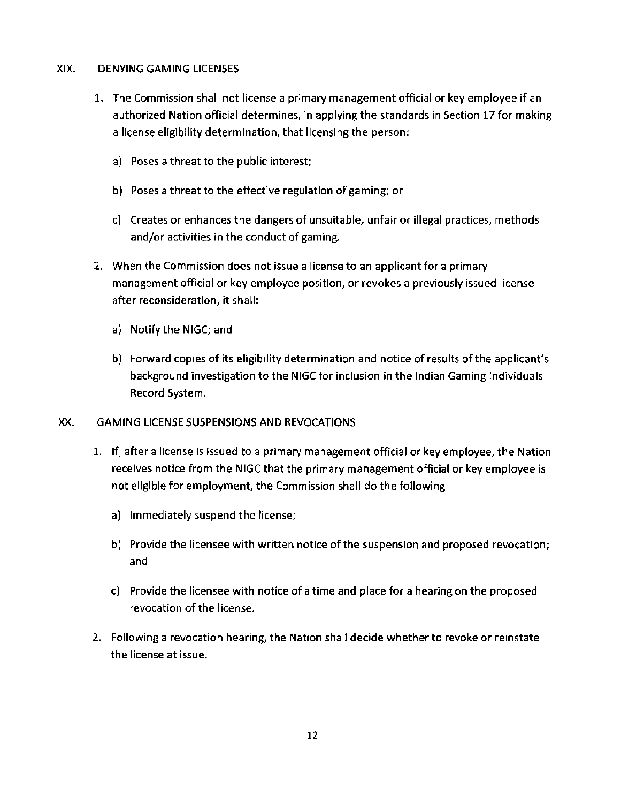# XIX. DENYING GAMING LICENSES

- 1. The Commission shall not license a primary management official or key employee if an authorized Nation official determines, in applying the standards in Section 17 for making a license eligibility determination, that licensing the person:
	- a) Poses a threat to the public interest;
	- b) Poses a threat to the effective regulation of gaming; or
	- c) Creates or enhances the dangers of unsuitable, unfair or illegal practices, methods and/or activities in the conduct of gaming.
- 2. When the Commission does not issue a license to an applicant for a primary management official or key employee position, or revokes a previously issued license after reconsideration, it shall:
	- a) Notify the NIGC; and
	- b) Forward copies of its eligibility determination and notice of results of the applicant's background investigation to the NIGC for inclusion in the Indian Gaming Individuals Record System.

## XX. GAMING LICENSE SUSPENSIONS AND REVOCATIONS

- 1. If, after a license is issued to a primary management official or key employee, the Nation receives notice from the NIGC that the primary management official or key employee is not eligible for employment, the Commission shall do the following:
	- a) Immediately suspend the license;
	- b) Provide the licensee with written notice of the suspension and proposed revocation; and
	- c) Provide the licensee with notice of a time and place for a hearing on the proposed revocation of the license.
- 2. Following a revocation hearing, the Nation shall decide whether to revoke or reinstate the license at issue.